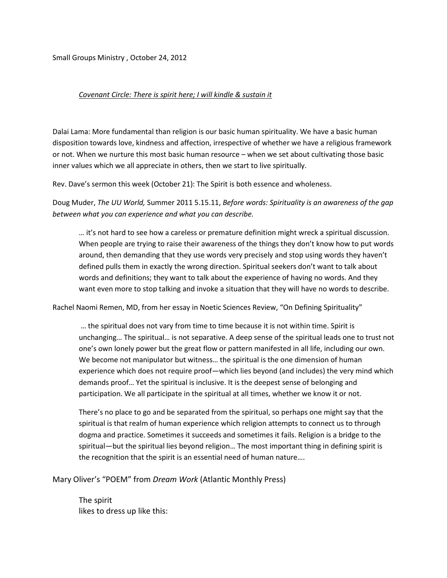Small Groups Ministry , October 24, 2012

## *Covenant Circle: There is spirit here; I will kindle & sustain it*

Dalai Lama: More fundamental than religion is our basic human spirituality. We have a basic human disposition towards love, kindness and affection, irrespective of whether we have a religious framework or not. When we nurture this most basic human resource – when we set about cultivating those basic inner values which we all appreciate in others, then we start to live spiritually.

Rev. Dave's sermon this week (October 21): The Spirit is both essence and wholeness.

Doug Muder, *The UU World,* Summer 2011 5.15.11, *Before words: Spirituality is an awareness of the gap between what you can experience and what you can describe.* 

… it's not hard to see how a careless or premature definition might wreck a spiritual discussion. When people are trying to raise their awareness of the things they don't know how to put words around, then demanding that they use words very precisely and stop using words they haven't defined pulls them in exactly the wrong direction. Spiritual seekers don't want to talk about words and definitions; they want to talk about the experience of having no words. And they want even more to stop talking and invoke a situation that they will have no words to describe.

Rachel Naomi Remen, MD, from her essay in Noetic Sciences Review, "On Defining Spirituality"

… the spiritual does not vary from time to time because it is not within time. Spirit is unchanging… The spiritual… is not separative. A deep sense of the spiritual leads one to trust not one's own lonely power but the great flow or pattern manifested in all life, including our own. We become not manipulator but witness… the spiritual is the one dimension of human experience which does not require proof—which lies beyond (and includes) the very mind which demands proof… Yet the spiritual is inclusive. It is the deepest sense of belonging and participation. We all participate in the spiritual at all times, whether we know it or not.

There's no place to go and be separated from the spiritual, so perhaps one might say that the spiritual is that realm of human experience which religion attempts to connect us to through dogma and practice. Sometimes it succeeds and sometimes it fails. Religion is a bridge to the spiritual—but the spiritual lies beyond religion… The most important thing in defining spirit is the recognition that the spirit is an essential need of human nature….

Mary Oliver's "POEM" from *Dream Work* (Atlantic Monthly Press)

The spirit likes to dress up like this: